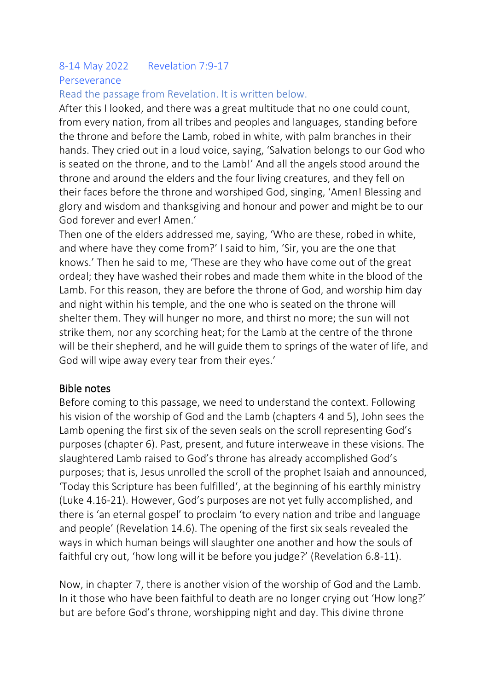## 8-14 May 2022 Revelation 7:9-17 Perseverance

## Read the passage from Revelation. It is written below.

After this I looked, and there was a great multitude that no one could count, from every nation, from all tribes and peoples and languages, standing before the throne and before the Lamb, robed in white, with palm branches in their hands. They cried out in a loud voice, saying, 'Salvation belongs to our God who is seated on the throne, and to the Lamb!' And all the angels stood around the throne and around the elders and the four living creatures, and they fell on their faces before the throne and worshiped God, singing, 'Amen! Blessing and glory and wisdom and thanksgiving and honour and power and might be to our God forever and ever! Amen.'

Then one of the elders addressed me, saying, 'Who are these, robed in white, and where have they come from?' I said to him, 'Sir, you are the one that knows.' Then he said to me, 'These are they who have come out of the great ordeal; they have washed their robes and made them white in the blood of the Lamb. For this reason, they are before the throne of God, and worship him day and night within his temple, and the one who is seated on the throne will shelter them. They will hunger no more, and thirst no more; the sun will not strike them, nor any scorching heat; for the Lamb at the centre of the throne will be their shepherd, and he will guide them to springs of the water of life, and God will wipe away every tear from their eyes.'

#### Bible notes

Before coming to this passage, we need to understand the context. Following his vision of the worship of God and the Lamb (chapters 4 and 5), John sees the Lamb opening the first six of the seven seals on the scroll representing God's purposes (chapter 6). Past, present, and future interweave in these visions. The slaughtered Lamb raised to God's throne has already accomplished God's purposes; that is, Jesus unrolled the scroll of the prophet Isaiah and announced, 'Today this Scripture has been fulfilled', at the beginning of his earthly ministry (Luke 4.16-21). However, God's purposes are not yet fully accomplished, and there is 'an eternal gospel' to proclaim 'to every nation and tribe and language and people' (Revelation 14.6). The opening of the first six seals revealed the ways in which human beings will slaughter one another and how the souls of faithful cry out, 'how long will it be before you judge?' (Revelation 6.8-11).

Now, in chapter 7, there is another vision of the worship of God and the Lamb. In it those who have been faithful to death are no longer crying out 'How long?' but are before God's throne, worshipping night and day. This divine throne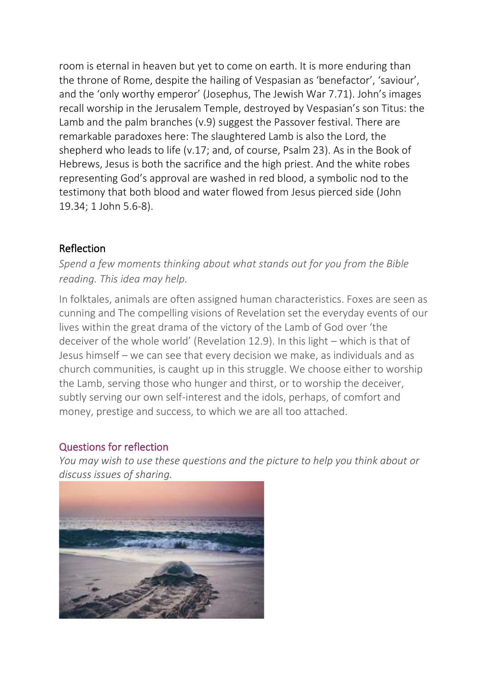room is eternal in heaven but yet to come on earth. It is more enduring than the throne of Rome, despite the hailing of Vespasian as 'benefactor', 'saviour', and the 'only worthy emperor' (Josephus, The Jewish War 7.71). John's images recall worship in the Jerusalem Temple, destroyed by Vespasian's son Titus: the Lamb and the palm branches (v.9) suggest the Passover festival. There are remarkable paradoxes here: The slaughtered Lamb is also the Lord, the shepherd who leads to life (v.17; and, of course, Psalm 23). As in the Book of Hebrews, Jesus is both the sacrifice and the high priest. And the white robes representing God's approval are washed in red blood, a symbolic nod to the testimony that both blood and water flowed from Jesus pierced side (John 19.34; 1 John 5.6-8).

## Reflection

*Spend a few moments thinking about what stands out for you from the Bible reading. This idea may help.*

In folktales, animals are often assigned human characteristics. Foxes are seen as cunning and The compelling visions of Revelation set the everyday events of our lives within the great drama of the victory of the Lamb of God over 'the deceiver of the whole world' (Revelation 12.9). In this light – which is that of Jesus himself – we can see that every decision we make, as individuals and as church communities, is caught up in this struggle. We choose either to worship the Lamb, serving those who hunger and thirst, or to worship the deceiver, subtly serving our own self-interest and the idols, perhaps, of comfort and money, prestige and success, to which we are all too attached.

#### Questions for reflection

*You may wish to use these questions and the picture to help you think about or discuss issues of sharing.*